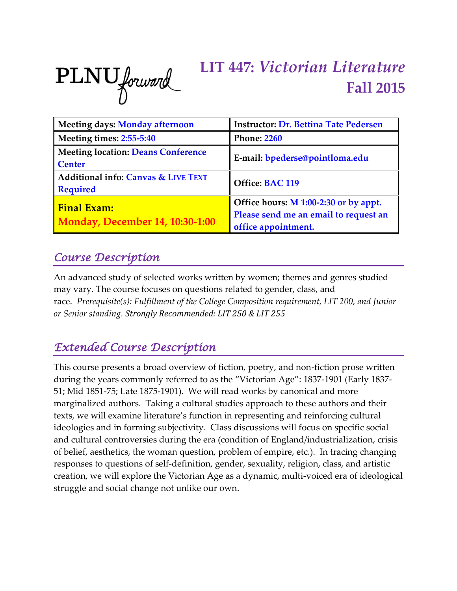

# **LIT 447:** *Victorian Literature* **Fall 2015**

| <b>Meeting days: Monday afternoon</b>                        | <b>Instructor: Dr. Bettina Tate Pedersen</b>                                                          |  |
|--------------------------------------------------------------|-------------------------------------------------------------------------------------------------------|--|
| Meeting times: 2:55-5:40                                     | <b>Phone: 2260</b>                                                                                    |  |
| <b>Meeting location: Deans Conference</b><br><b>Center</b>   | E-mail: bpederse@pointloma.edu                                                                        |  |
| Additional info: Canvas & LIVE TEXT<br><b>Required</b>       | Office: BAC 119                                                                                       |  |
| <b>Final Exam:</b><br><b>Monday, December 14, 10:30-1:00</b> | Office hours: M 1:00-2:30 or by appt.<br>Please send me an email to request an<br>office appointment. |  |

### *Course Description*

An advanced study of selected works written by women; themes and genres studied may vary. The course focuses on questions related to gender, class, and race. *Prerequisite(s): Fulfillment of the College Composition requirement, LIT 200, and Junior or Senior standing. Strongly Recommended: LIT 250 & LIT 255*

# *Extended Course Description*

This course presents a broad overview of fiction, poetry, and non-fiction prose written during the years commonly referred to as the "Victorian Age": 1837-1901 (Early 1837- 51; Mid 1851-75; Late 1875-1901). We will read works by canonical and more marginalized authors. Taking a cultural studies approach to these authors and their texts, we will examine literature's function in representing and reinforcing cultural ideologies and in forming subjectivity. Class discussions will focus on specific social and cultural controversies during the era (condition of England/industrialization, crisis of belief, aesthetics, the woman question, problem of empire, etc.). In tracing changing responses to questions of self-definition, gender, sexuality, religion, class, and artistic creation, we will explore the Victorian Age as a dynamic, multi-voiced era of ideological struggle and social change not unlike our own.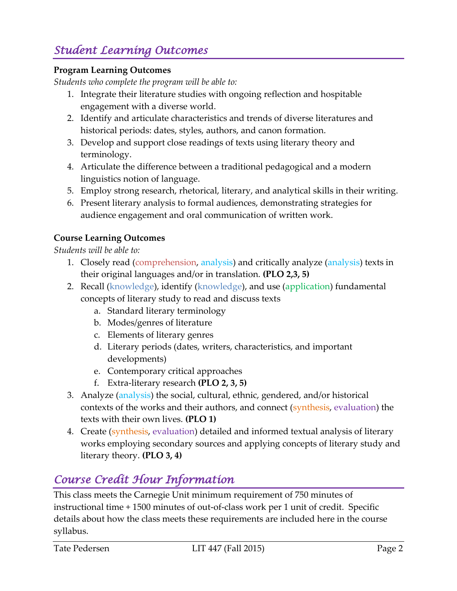# *Student Learning Outcomes*

#### **Program Learning Outcomes**

*Students who complete the program will be able to:*

- 1. Integrate their literature studies with ongoing reflection and hospitable engagement with a diverse world.
- 2. Identify and articulate characteristics and trends of diverse literatures and historical periods: dates, styles, authors, and canon formation.
- 3. Develop and support close readings of texts using literary theory and terminology.
- 4. Articulate the difference between a traditional pedagogical and a modern linguistics notion of language.
- 5. Employ strong research, rhetorical, literary, and analytical skills in their writing.
- 6. Present literary analysis to formal audiences, demonstrating strategies for audience engagement and oral communication of written work.

#### **Course Learning Outcomes**

*Students will be able to:*

- 1. Closely read (comprehension, analysis) and critically analyze (analysis) texts in their original languages and/or in translation. **(PLO 2,3, 5)**
- 2. Recall (knowledge), identify (knowledge), and use (application) fundamental concepts of literary study to read and discuss texts
	- a. Standard literary terminology
	- b. Modes/genres of literature
	- c. Elements of literary genres
	- d. Literary periods (dates, writers, characteristics, and important developments)
	- e. Contemporary critical approaches
	- f. Extra-literary research **(PLO 2, 3, 5)**
- 3. Analyze (analysis) the social, cultural, ethnic, gendered, and/or historical contexts of the works and their authors, and connect (synthesis, evaluation) the texts with their own lives. **(PLO 1)**
- 4. Create (synthesis, evaluation) detailed and informed textual analysis of literary works employing secondary sources and applying concepts of literary study and literary theory. **(PLO 3, 4)**

### *Course Credit Hour Information*

This class meets the Carnegie Unit minimum requirement of 750 minutes of instructional time + 1500 minutes of out-of-class work per 1 unit of credit. Specific details about how the class meets these requirements are included here in the course syllabus.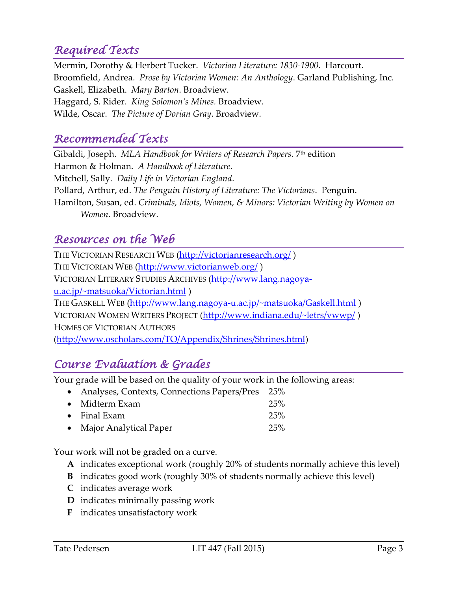# *Required Texts*

Mermin, Dorothy & Herbert Tucker. *Victorian Literature: 1830-1900*. Harcourt. Broomfield, Andrea. *Prose by Victorian Women: An Anthology*. Garland Publishing, Inc. Gaskell, Elizabeth. *Mary Barton*. Broadview. Haggard, S. Rider. *King Solomon's Mines.* Broadview. Wilde, Oscar. *The Picture of Dorian Gray*. Broadview.

### *Recommended Texts*

Gibaldi, Joseph. *MLA Handbook for Writers of Research Papers*. 7 th edition Harmon & Holman. *A Handbook of Literature*. Mitchell, Sally. *Daily Life in Victorian England*. Pollard, Arthur, ed. *The Penguin History of Literature: The Victorians*. Penguin. Hamilton, Susan, ed. *Criminals, Idiots, Women, & Minors: Victorian Writing by Women on Women*. Broadview.

### *Resources on the Web*

THE VICTORIAN RESEARCH WEB [\(http://victorianresearch.org/](http://victorianresearch.org/)) THE VICTORIAN WEB [\(http://www.victorianweb.org/](http://www.victorianweb.org/) ) VICTORIAN LITERARY STUDIES ARCHIVES [\(http://www.lang.nagoya](http://www.lang.nagoya-u.ac.jp/~matsuoka/Victorian.html)[u.ac.jp/~matsuoka/Victorian.html](http://www.lang.nagoya-u.ac.jp/~matsuoka/Victorian.html)) THE GASKELL WEB [\(http://www.lang.nagoya-u.ac.jp/~matsuoka/Gaskell.html](http://www.lang.nagoya-u.ac.jp/~matsuoka/Gaskell.html) ) VICTORIAN WOMEN WRITERS PROJECT [\(http://www.indiana.edu/~letrs/vwwp/](http://www.indiana.edu/~letrs/vwwp/)) HOMES OF VICTORIAN AUTHORS [\(http://www.oscholars.com/TO/Appendix/Shrines/Shrines.html\)](http://www.oscholars.com/TO/Appendix/Shrines/Shrines.html)

### *Course Evaluation & Grades*

Your grade will be based on the quality of your work in the following areas:

| • Analyses, Contexts, Connections Papers/Pres 25% |     |
|---------------------------------------------------|-----|
| $\bullet$ Midterm Exam                            | 25% |
| $\bullet$ Final Exam                              | 25% |
| • Major Analytical Paper                          | 25% |

Your work will not be graded on a curve.

- **A** indicates exceptional work (roughly 20% of students normally achieve this level)
- **B** indicates good work (roughly 30% of students normally achieve this level)
- **C** indicates average work
- **D** indicates minimally passing work
- **F** indicates unsatisfactory work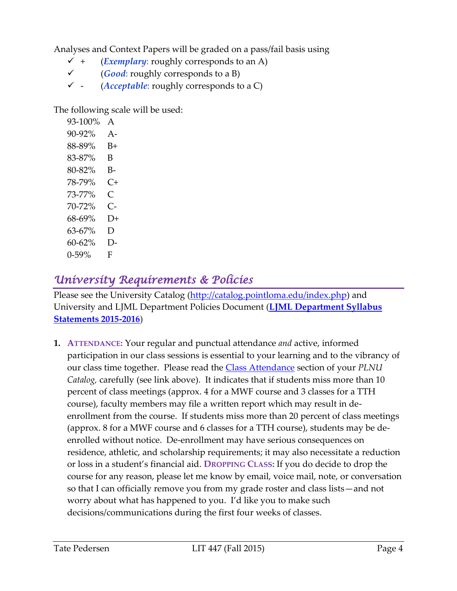Analyses and Context Papers will be graded on a pass/fail basis using

- $\checkmark$  + (*Exemplary*: roughly corresponds to an A)
- (*Good*: roughly corresponds to a B)
- $\checkmark$  (*Acceptable*: roughly corresponds to a C)

The following scale will be used:

93-100% A 90-92% A-88-89% B+ 83-87% B 80-82% B-78-79% C+ 73-77% C 70-72% C-68-69% D+ 63-67% D 60-62% D-0-59% F

# *University Requirements & Policies*

Please see the University Catalog [\(http://catalog.pointloma.edu/index.php\)](http://catalog.pointloma.edu/index.php) and University and LJML Department Policies Document (**LJML [Department](http://www.pointloma.edu/sites/default/files/filemanager/Literature_Journalism__Modern_Languages/LJML_Department_Syllabus_Statments_final_2015-16.pdf) Syllabus [Statements](http://www.pointloma.edu/sites/default/files/filemanager/Literature_Journalism__Modern_Languages/LJML_Department_Syllabus_Statments_final_2015-16.pdf) 2015-2016**)

**1. ATTENDANCE:** Your regular and punctual attendance *and* active, informed participation in our class sessions is essential to your learning and to the vibrancy of our class time together. Please read the [Class Attendance](http://catalog.pointloma.edu/content.php?catoid=18&navoid=1278#Class_Attendance) section of your *PLNU Catalog,* carefully (see link above). It indicates that if students miss more than 10 percent of class meetings (approx. 4 for a MWF course and 3 classes for a TTH course), faculty members may file a written report which may result in deenrollment from the course. If students miss more than 20 percent of class meetings (approx. 8 for a MWF course and 6 classes for a TTH course), students may be deenrolled without notice. De-enrollment may have serious consequences on residence, athletic, and scholarship requirements; it may also necessitate a reduction or loss in a student's financial aid. **DROPPING CLASS:** If you do decide to drop the course for any reason, please let me know by email, voice mail, note, or conversation so that I can officially remove you from my grade roster and class lists—and not worry about what has happened to you. I'd like you to make such decisions/communications during the first four weeks of classes.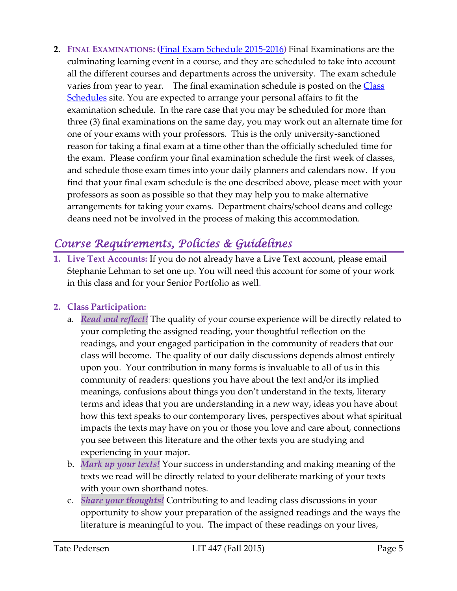**2. FINAL EXAMINATIONS: (**Final Exam Schedule [2015-2016](http://www.pointloma.edu/sites/default/files/filemanager/Academic_Affairs/Schedules/Final_Exam_Schedule_2015-2016.pdf)**)** Final Examinations are the culminating learning event in a course, and they are scheduled to take into account all the different courses and departments across the university. The exam schedule varies from year to year. The final examination schedule is posted on the Class [Schedules](http://www.pointloma.edu/experience/academics/class-schedules) site. You are expected to arrange your personal affairs to fit the examination schedule. In the rare case that you may be scheduled for more than three (3) final examinations on the same day, you may work out an alternate time for one of your exams with your professors. This is the <u>only</u> university-sanctioned reason for taking a final exam at a time other than the officially scheduled time for the exam. Please confirm your final examination schedule the first week of classes, and schedule those exam times into your daily planners and calendars now. If you find that your final exam schedule is the one described above, please meet with your professors as soon as possible so that they may help you to make alternative arrangements for taking your exams. Department chairs/school deans and college deans need not be involved in the process of making this accommodation.

# *Course Requirements, Policies & Guidelines*

**1. Live Text Accounts:** If you do not already have a Live Text account, please email Stephanie Lehman to set one up. You will need this account for some of your work in this class and for your Senior Portfolio as well.

#### **2. Class Participation:**

- a. *Read and reflect!* The quality of your course experience will be directly related to your completing the assigned reading, your thoughtful reflection on the readings, and your engaged participation in the community of readers that our class will become. The quality of our daily discussions depends almost entirely upon you. Your contribution in many forms is invaluable to all of us in this community of readers: questions you have about the text and/or its implied meanings, confusions about things you don't understand in the texts, literary terms and ideas that you are understanding in a new way, ideas you have about how this text speaks to our contemporary lives, perspectives about what spiritual impacts the texts may have on you or those you love and care about, connections you see between this literature and the other texts you are studying and experiencing in your major.
- b. *Mark up your texts!* Your success in understanding and making meaning of the texts we read will be directly related to your deliberate marking of your texts with your own shorthand notes.
- c. *Share your thoughts!* Contributing to and leading class discussions in your opportunity to show your preparation of the assigned readings and the ways the literature is meaningful to you. The impact of these readings on your lives,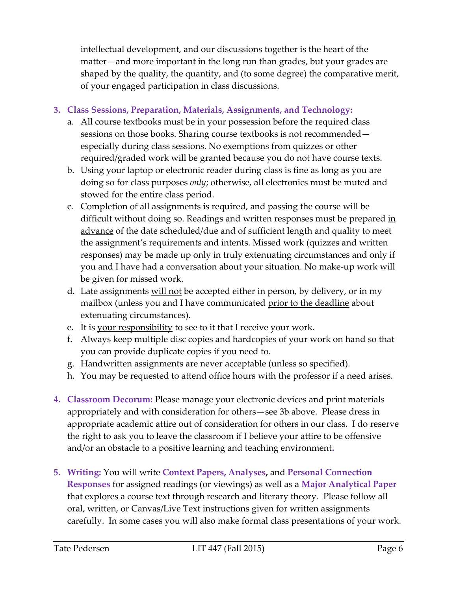intellectual development, and our discussions together is the heart of the matter—and more important in the long run than grades, but your grades are shaped by the quality, the quantity, and (to some degree) the comparative merit, of your engaged participation in class discussions.

#### **3. Class Sessions, Preparation, Materials, Assignments, and Technology:**

- a. All course textbooks must be in your possession before the required class sessions on those books. Sharing course textbooks is not recommended especially during class sessions. No exemptions from quizzes or other required/graded work will be granted because you do not have course texts.
- b. Using your laptop or electronic reader during class is fine as long as you are doing so for class purposes *only*; otherwise, all electronics must be muted and stowed for the entire class period.
- c. Completion of all assignments is required, and passing the course will be difficult without doing so. Readings and written responses must be prepared in advance of the date scheduled/due and of sufficient length and quality to meet the assignment's requirements and intents. Missed work (quizzes and written responses) may be made up only in truly extenuating circumstances and only if you and I have had a conversation about your situation. No make-up work will be given for missed work.
- d. Late assignments will not be accepted either in person, by delivery, or in my mailbox (unless you and I have communicated prior to the deadline about extenuating circumstances).
- e. It is your responsibility to see to it that I receive your work.
- f. Always keep multiple disc copies and hardcopies of your work on hand so that you can provide duplicate copies if you need to.
- g. Handwritten assignments are never acceptable (unless so specified).
- h. You may be requested to attend office hours with the professor if a need arises.
- **4. Classroom Decorum:** Please manage your electronic devices and print materials appropriately and with consideration for others—see 3b above. Please dress in appropriate academic attire out of consideration for others in our class. I do reserve the right to ask you to leave the classroom if I believe your attire to be offensive and/or an obstacle to a positive learning and teaching environment**.**
- **5. Writing:** You will write **Context Papers, Analyses,** and **Personal Connection Responses** for assigned readings (or viewings) as well as a **Major Analytical Paper** that explores a course text through research and literary theory. Please follow all oral, written, or Canvas/Live Text instructions given for written assignments carefully. In some cases you will also make formal class presentations of your work.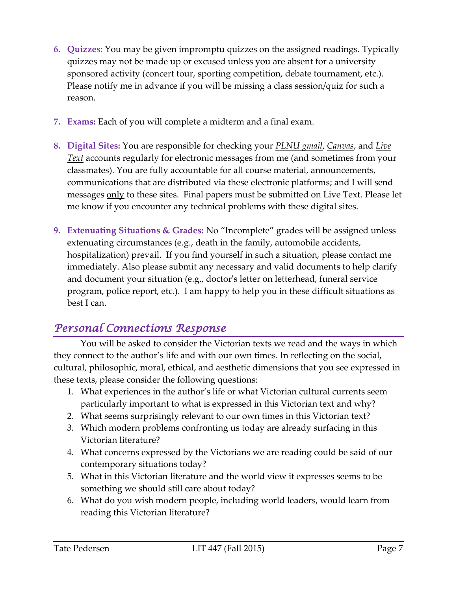- **6. Quizzes:** You may be given impromptu quizzes on the assigned readings. Typically quizzes may not be made up or excused unless you are absent for a university sponsored activity (concert tour, sporting competition, debate tournament, etc.). Please notify me in advance if you will be missing a class session/quiz for such a reason.
- **7. Exams:** Each of you will complete a midterm and a final exam.
- **8. Digital Sites:** You are responsible for checking your *PLNU gmail*, *Canvas*, and *Live Text* accounts regularly for electronic messages from me (and sometimes from your classmates). You are fully accountable for all course material, announcements, communications that are distributed via these electronic platforms; and I will send messages only to these sites. Final papers must be submitted on Live Text. Please let me know if you encounter any technical problems with these digital sites.
- **9. Extenuating Situations & Grades:** No "Incomplete" grades will be assigned unless extenuating circumstances (e.g., death in the family, automobile accidents, hospitalization) prevail. If you find yourself in such a situation, please contact me immediately. Also please submit any necessary and valid documents to help clarify and document your situation (e.g., doctor's letter on letterhead, funeral service program, police report, etc.). I am happy to help you in these difficult situations as best I can.

### *Personal Connections Response*

You will be asked to consider the Victorian texts we read and the ways in which they connect to the author's life and with our own times. In reflecting on the social, cultural, philosophic, moral, ethical, and aesthetic dimensions that you see expressed in these texts, please consider the following questions:

- 1. What experiences in the author's life or what Victorian cultural currents seem particularly important to what is expressed in this Victorian text and why?
- 2. What seems surprisingly relevant to our own times in this Victorian text?
- 3. Which modern problems confronting us today are already surfacing in this Victorian literature?
- 4. What concerns expressed by the Victorians we are reading could be said of our contemporary situations today?
- 5. What in this Victorian literature and the world view it expresses seems to be something we should still care about today?
- 6. What do you wish modern people, including world leaders, would learn from reading this Victorian literature?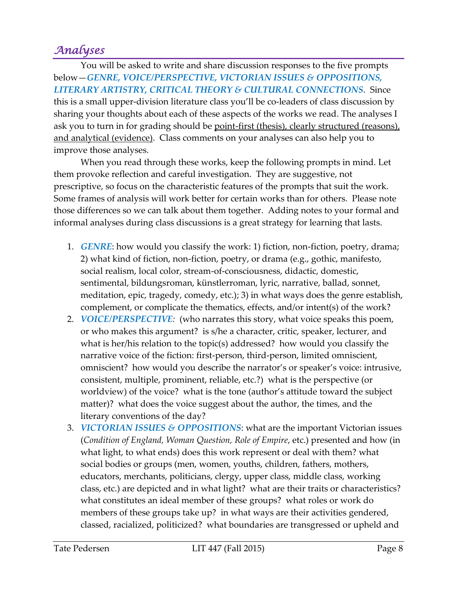# *Analyses*

You will be asked to write and share discussion responses to the five prompts below—*GENRE, VOICE/PERSPECTIVE, VICTORIAN ISSUES & OPPOSITIONS, LITERARY ARTISTRY, CRITICAL THEORY & CULTURAL CONNECTIONS*. Since this is a small upper-division literature class you'll be co-leaders of class discussion by sharing your thoughts about each of these aspects of the works we read. The analyses I ask you to turn in for grading should be point-first (thesis), clearly structured (reasons), and analytical (evidence). Class comments on your analyses can also help you to improve those analyses.

When you read through these works, keep the following prompts in mind. Let them provoke reflection and careful investigation. They are suggestive, not prescriptive, so focus on the characteristic features of the prompts that suit the work. Some frames of analysis will work better for certain works than for others. Please note those differences so we can talk about them together. Adding notes to your formal and informal analyses during class discussions is a great strategy for learning that lasts.

- 1. *GENRE*: how would you classify the work: 1) fiction, non-fiction, poetry, drama; 2) what kind of fiction, non-fiction, poetry, or drama (e.g., gothic, manifesto, social realism, local color, stream-of-consciousness, didactic, domestic, sentimental, bildungsroman, künstlerroman, lyric, narrative, ballad, sonnet, meditation, epic, tragedy, comedy, etc.); 3) in what ways does the genre establish, complement, or complicate the thematics, effects, and/or intent(s) of the work?
- 2. *VOICE/PERSPECTIVE:* (who narrates this story, what voice speaks this poem, or who makes this argument? is s/he a character, critic, speaker, lecturer, and what is her/his relation to the topic(s) addressed? how would you classify the narrative voice of the fiction: first-person, third-person, limited omniscient, omniscient? how would you describe the narrator's or speaker's voice: intrusive, consistent, multiple, prominent, reliable, etc.?) what is the perspective (or worldview) of the voice? what is the tone (author's attitude toward the subject matter)? what does the voice suggest about the author, the times, and the literary conventions of the day?
- 3. *VICTORIAN ISSUES & OPPOSITIONS*: what are the important Victorian issues (*Condition of England, Woman Question, Role of Empire*, etc.) presented and how (in what light, to what ends) does this work represent or deal with them? what social bodies or groups (men, women, youths, children, fathers, mothers, educators, merchants, politicians, clergy, upper class, middle class, working class, etc.) are depicted and in what light? what are their traits or characteristics? what constitutes an ideal member of these groups? what roles or work do members of these groups take up? in what ways are their activities gendered, classed, racialized, politicized? what boundaries are transgressed or upheld and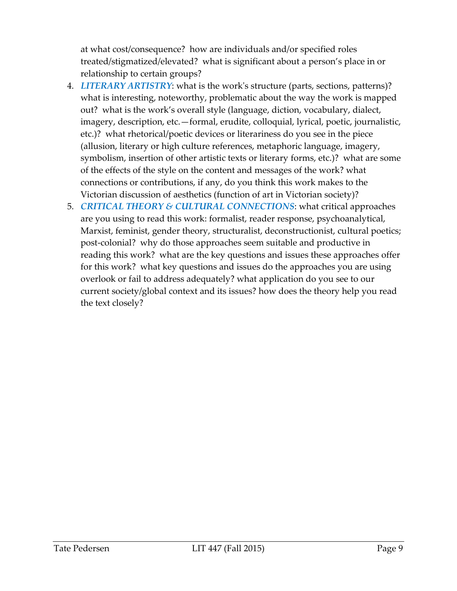at what cost/consequence? how are individuals and/or specified roles treated/stigmatized/elevated? what is significant about a person's place in or relationship to certain groups?

- 4. *LITERARY ARTISTRY*: what is the work's structure (parts, sections, patterns)? what is interesting, noteworthy, problematic about the way the work is mapped out? what is the work's overall style (language, diction, vocabulary, dialect, imagery, description, etc.—formal, erudite, colloquial, lyrical, poetic, journalistic, etc.)? what rhetorical/poetic devices or literariness do you see in the piece (allusion, literary or high culture references, metaphoric language, imagery, symbolism, insertion of other artistic texts or literary forms, etc.)? what are some of the effects of the style on the content and messages of the work? what connections or contributions, if any, do you think this work makes to the Victorian discussion of aesthetics (function of art in Victorian society)?
- 5. *CRITICAL THEORY & CULTURAL CONNECTIONS*: what critical approaches are you using to read this work: formalist, reader response, psychoanalytical, Marxist, feminist, gender theory, structuralist, deconstructionist, cultural poetics; post-colonial? why do those approaches seem suitable and productive in reading this work? what are the key questions and issues these approaches offer for this work? what key questions and issues do the approaches you are using overlook or fail to address adequately? what application do you see to our current society/global context and its issues? how does the theory help you read the text closely?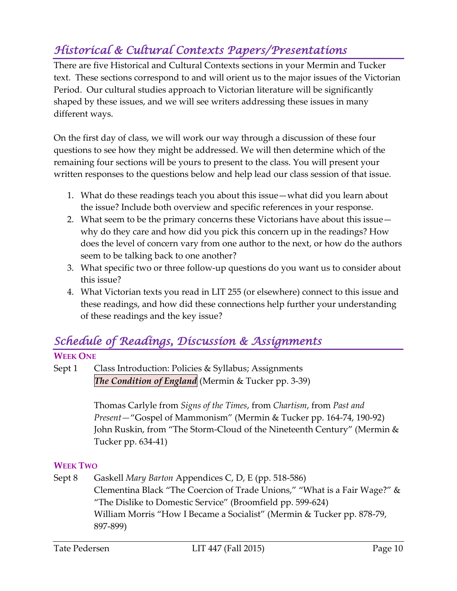# *Historical & Cultural Contexts Papers/Presentations*

There are five Historical and Cultural Contexts sections in your Mermin and Tucker text. These sections correspond to and will orient us to the major issues of the Victorian Period. Our cultural studies approach to Victorian literature will be significantly shaped by these issues, and we will see writers addressing these issues in many different ways.

On the first day of class, we will work our way through a discussion of these four questions to see how they might be addressed. We will then determine which of the remaining four sections will be yours to present to the class. You will present your written responses to the questions below and help lead our class session of that issue.

- 1. What do these readings teach you about this issue—what did you learn about the issue? Include both overview and specific references in your response.
- 2. What seem to be the primary concerns these Victorians have about this issue why do they care and how did you pick this concern up in the readings? How does the level of concern vary from one author to the next, or how do the authors seem to be talking back to one another?
- 3. What specific two or three follow-up questions do you want us to consider about this issue?
- 4. What Victorian texts you read in LIT 255 (or elsewhere) connect to this issue and these readings, and how did these connections help further your understanding of these readings and the key issue?

# *Schedule of Readings, Discussion & Assignments*

#### **WEEK ONE**

Sept 1 Class Introduction: Policies & Syllabus; Assignments *The Condition of England* (Mermin & Tucker pp. 3-39)

> Thomas Carlyle from *Signs of the Times*, from *Chartism*, from *Past and Present—*"Gospel of Mammonism" (Mermin & Tucker pp. 164-74, 190-92) John Ruskin, from "The Storm-Cloud of the Nineteenth Century" (Mermin & Tucker pp. 634-41)

#### **WEEK TWO**

Sept 8 Gaskell *Mary Barton* Appendices C, D, E (pp. 518-586) Clementina Black "The Coercion of Trade Unions," "What is a Fair Wage?" & "The Dislike to Domestic Service" (Broomfield pp. 599-624) William Morris "How I Became a Socialist" (Mermin & Tucker pp. 878-79, 897-899)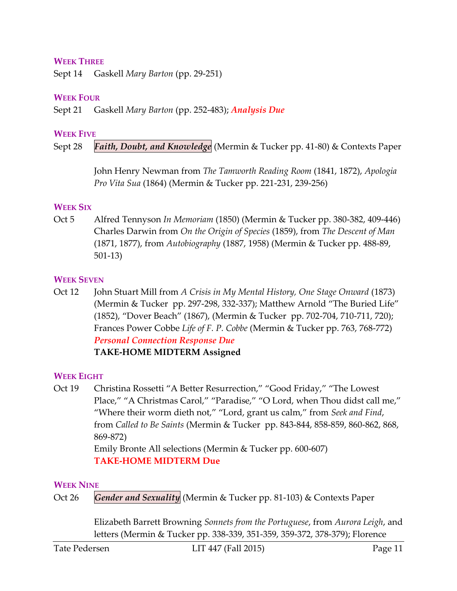#### **WEEK THREE**

Sept 14 Gaskell *Mary Barton* (pp. 29-251)

#### **WEEK FOUR**

Sept 21 Gaskell *Mary Barton* (pp. 252-483); *Analysis Due*

#### **WEEK FIVE**

Sept 28 *Faith, Doubt, and Knowledge* (Mermin & Tucker pp. 41-80) & Contexts Paper

John Henry Newman from *The Tamworth Reading Room* (1841, 1872), *Apologia Pro Vita Sua* (1864) (Mermin & Tucker pp. 221-231, 239-256)

#### **WEEK SIX**

Oct 5 Alfred Tennyson *In Memoriam* (1850) (Mermin & Tucker pp. 380-382, 409-446) Charles Darwin from *On the Origin of Species* (1859), from *The Descent of Man* (1871, 1877), from *Autobiography* (1887, 1958) (Mermin & Tucker pp. 488-89, 501-13)

#### **WEEK SEVEN**

Oct 12 John Stuart Mill from *A Crisis in My Mental History, One Stage Onward* (1873) (Mermin & Tucker pp. 297-298, 332-337); Matthew Arnold "The Buried Life" (1852), "Dover Beach" (1867), (Mermin & Tucker pp. 702-704, 710-711, 720); Frances Power Cobbe *Life of F. P. Cobbe* (Mermin & Tucker pp. 763, 768-772) *Personal Connection Response Due* **TAKE-HOME MIDTERM Assigned**

#### **WEEK EIGHT**

Oct 19 Christina Rossetti "A Better Resurrection," "Good Friday," "The Lowest Place," "A Christmas Carol," "Paradise," "O Lord, when Thou didst call me," "Where their worm dieth not," "Lord, grant us calm," from *Seek and Find*, from *Called to Be Saints* (Mermin & Tucker pp. 843-844, 858-859, 860-862, 868, 869-872) Emily Bronte All selections (Mermin & Tucker pp. 600-607)

**TAKE-HOME MIDTERM Due**

#### **WEEK NINE**

Oct 26 *Gender and Sexuality* (Mermin & Tucker pp. 81-103) & Contexts Paper

Elizabeth Barrett Browning *Sonnets from the Portuguese*, from *Aurora Leigh*, and letters (Mermin & Tucker pp. 338-339, 351-359, 359-372, 378-379); Florence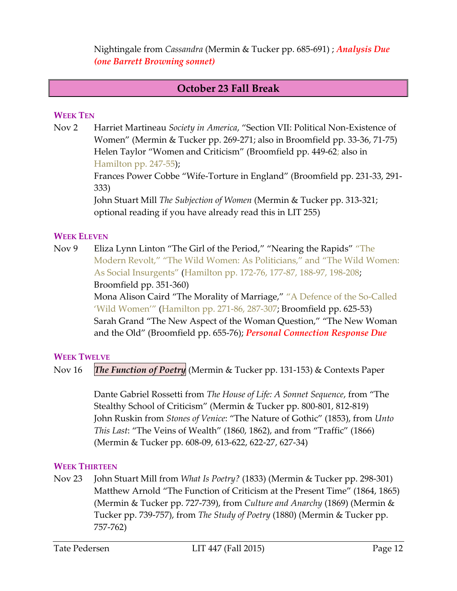Nightingale from *Cassandra* (Mermin & Tucker pp. 685-691) ; *Analysis Due (one Barrett Browning sonnet)*

### **October 23 Fall Break**

#### **WEEK TEN**

Nov 2 Harriet Martineau *Society in America*, "Section VII: Political Non-Existence of Women" (Mermin & Tucker pp. 269-271; also in Broomfield pp. 33-36, 71-75) Helen Taylor "Women and Criticism" (Broomfield pp. 449-62; also in Hamilton pp. 247-55);

> Frances Power Cobbe "Wife-Torture in England" (Broomfield pp. 231-33, 291- 333)

John Stuart Mill *The Subjection of Women* (Mermin & Tucker pp. 313-321; optional reading if you have already read this in LIT 255)

#### **WEEK ELEVEN**

Nov 9 Eliza Lynn Linton "The Girl of the Period," "Nearing the Rapids" "The Modern Revolt," "The Wild Women: As Politicians," and "The Wild Women: As Social Insurgents" (Hamilton pp. 172-76, 177-87, 188-97, 198-208; Broomfield pp. 351-360)

Mona Alison Caird "The Morality of Marriage," "A Defence of the So-Called 'Wild Women'" (Hamilton pp. 271-86, 287-307; Broomfield pp. 625-53) Sarah Grand "The New Aspect of the Woman Question," "The New Woman and the Old" (Broomfield pp. 655-76); *Personal Connection Response Due*

#### **WEEK TWELVE**

Nov 16 *The Function of Poetry* (Mermin & Tucker pp. 131-153) & Contexts Paper

Dante Gabriel Rossetti from *The House of Life: A Sonnet Sequence*, from "The Stealthy School of Criticism" (Mermin & Tucker pp. 800-801, 812-819) John Ruskin from *Stones of Venice*: "The Nature of Gothic" (1853), from *Unto This Last*: "The Veins of Wealth" (1860, 1862), and from "Traffic" (1866) (Mermin & Tucker pp. 608-09, 613-622, 622-27, 627-34)

#### **WEEK THIRTEEN**

Nov 23 John Stuart Mill from *What Is Poetry?* (1833) (Mermin & Tucker pp. 298-301) Matthew Arnold "The Function of Criticism at the Present Time" (1864, 1865) (Mermin & Tucker pp. 727-739), from *Culture and Anarchy* (1869) (Mermin & Tucker pp. 739-757), from *The Study of Poetry* (1880) (Mermin & Tucker pp. 757-762)